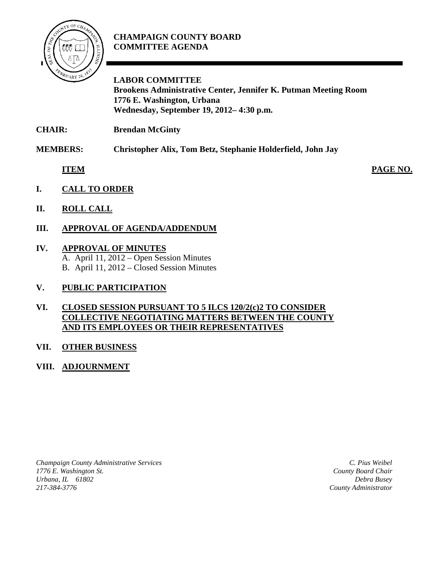

## **CHAMPAIGN COUNTY BOARD COMMITTEE AGENDA**

**LABOR COMMITTEE Brookens Administrative Center, Jennifer K. Putman Meeting Room 1776 E. Washington, Urbana Wednesday, September 19, 2012– 4:30 p.m.**

**CHAIR: Brendan McGinty**

**MEMBERS: Christopher Alix, Tom Betz, Stephanie Holderfield, John Jay**

**ITEM PAGE NO.**

- **I. CALL TO ORDER**
- **II. ROLL CALL**
- **III. APPROVAL OF AGENDA/ADDENDUM**
- **IV. APPROVAL OF MINUTES**
	- A. April 11, 2012 Open Session Minutes B. April 11, 2012 – Closed Session Minutes
- **V. PUBLIC PARTICIPATION**

## **VI. CLOSED SESSION PURSUANT TO 5 ILCS 120/2(c)2 TO CONSIDER COLLECTIVE NEGOTIATING MATTERS BETWEEN THE COUNTY AND ITS EMPLOYEES OR THEIR REPRESENTATIVES**

## **VII. OTHER BUSINESS**

**VIII. ADJOURNMENT**

*Champaign County Administrative Services 1776 E. Washington St. Urbana, IL 61802 217-384-3776*

*C. Pius Weibel County Board Chair Debra Busey County Administrator*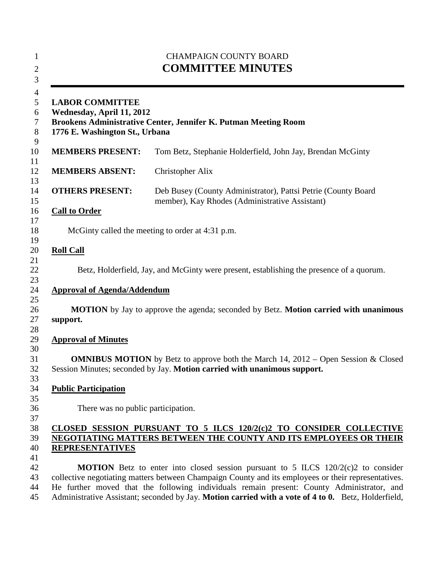| <b>CHAMPAIGN COUNTY BOARD</b><br><b>COMMITTEE MINUTES</b><br><b>LABOR COMMITTEE</b><br>Wednesday, April 11, 2012<br>Brookens Administrative Center, Jennifer K. Putman Meeting Room<br>1776 E. Washington St., Urbana |                                                                                                                                                                                                                                                                                                                                                                                                      |
|-----------------------------------------------------------------------------------------------------------------------------------------------------------------------------------------------------------------------|------------------------------------------------------------------------------------------------------------------------------------------------------------------------------------------------------------------------------------------------------------------------------------------------------------------------------------------------------------------------------------------------------|
|                                                                                                                                                                                                                       |                                                                                                                                                                                                                                                                                                                                                                                                      |
| <b>MEMBERS ABSENT:</b>                                                                                                                                                                                                | Christopher Alix                                                                                                                                                                                                                                                                                                                                                                                     |
| <b>OTHERS PRESENT:</b>                                                                                                                                                                                                | Deb Busey (County Administrator), Pattsi Petrie (County Board<br>member), Kay Rhodes (Administrative Assistant)                                                                                                                                                                                                                                                                                      |
| <b>Call to Order</b>                                                                                                                                                                                                  |                                                                                                                                                                                                                                                                                                                                                                                                      |
|                                                                                                                                                                                                                       | McGinty called the meeting to order at 4:31 p.m.                                                                                                                                                                                                                                                                                                                                                     |
| <b>Roll Call</b>                                                                                                                                                                                                      |                                                                                                                                                                                                                                                                                                                                                                                                      |
|                                                                                                                                                                                                                       | Betz, Holderfield, Jay, and McGinty were present, establishing the presence of a quorum.                                                                                                                                                                                                                                                                                                             |
| <b>Approval of Agenda/Addendum</b>                                                                                                                                                                                    |                                                                                                                                                                                                                                                                                                                                                                                                      |
| support.                                                                                                                                                                                                              | <b>MOTION</b> by Jay to approve the agenda; seconded by Betz. <b>Motion carried with unanimous</b>                                                                                                                                                                                                                                                                                                   |
| <b>Approval of Minutes</b>                                                                                                                                                                                            |                                                                                                                                                                                                                                                                                                                                                                                                      |
|                                                                                                                                                                                                                       | <b>OMNIBUS MOTION</b> by Betz to approve both the March 14, $2012 -$ Open Session & Closed<br>Session Minutes; seconded by Jay. Motion carried with unanimous support.                                                                                                                                                                                                                               |
| <b>Public Participation</b>                                                                                                                                                                                           |                                                                                                                                                                                                                                                                                                                                                                                                      |
| There was no public participation.                                                                                                                                                                                    |                                                                                                                                                                                                                                                                                                                                                                                                      |
| <b>REPRESENTATIVES</b>                                                                                                                                                                                                | CLOSED SESSION PURSUANT TO 5 ILCS 120/2(c)2 TO CONSIDER COLLECTIVE<br>NEGOTIATING MATTERS BETWEEN THE COUNTY AND ITS EMPLOYEES OR THEIR                                                                                                                                                                                                                                                              |
|                                                                                                                                                                                                                       | <b>MOTION</b> Betz to enter into closed session pursuant to 5 ILCS $120/2(c)$ to consider<br>collective negotiating matters between Champaign County and its employees or their representatives.<br>He further moved that the following individuals remain present: County Administrator, and<br>Administrative Assistant; seconded by Jay. Motion carried with a vote of 4 to 0. Betz, Holderfield, |